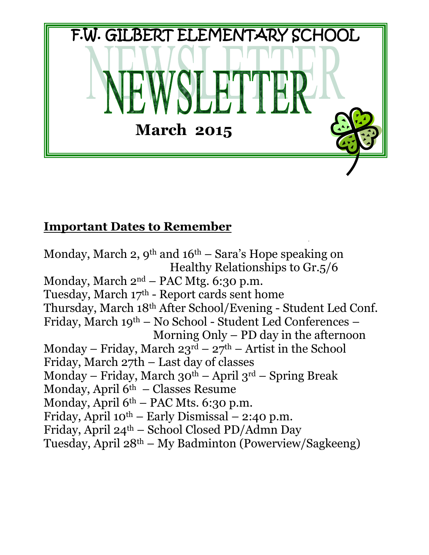

## **Important Dates to Remember**

Monday, March 2,  $9^{th}$  and  $16^{th}$  – Sara's Hope speaking on Healthy Relationships to Gr.5/6 Monday, March  $2<sup>nd</sup>$  – PAC Mtg. 6:30 p.m. Tuesday, March 17 th - Report cards sent home Thursday, March 18th After School/Evening - Student Led Conf. Friday, March 19th – No School - Student Led Conferences – Morning Only – PD day in the afternoon Monday – Friday, March  $23^{\text{rd}}$  –  $27^{\text{th}}$  – Artist in the School Friday, March 27th – Last day of classes Monday – Friday, March  $30^{th}$  – April  $3^{rd}$  – Spring Break Monday, April  $6<sup>th</sup>$  – Classes Resume Monday, April  $6<sup>th</sup>$  – PAC Mts. 6:30 p.m. Friday, April  $10^{th}$  – Early Dismissal – 2:40 p.m. Friday, April 24th – School Closed PD/Admn Day Tuesday, April 28th – My Badminton (Powerview/Sagkeeng)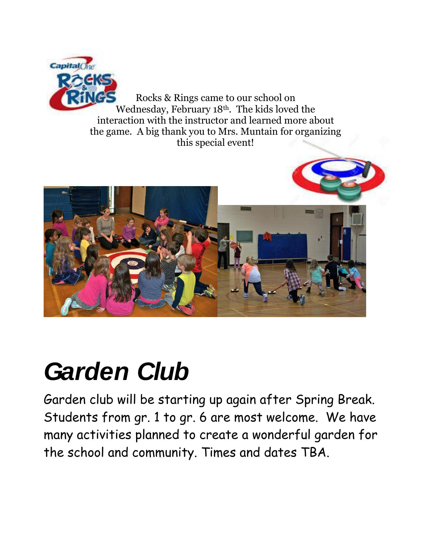

Rocks & Rings came to our school on Wednesday, February 18th. The kids loved the interaction with the instructor and learned more about the game. A big thank you to Mrs. Muntain for organizing this special event!



# *Garden Club*

Garden club will be starting up again after Spring Break. Students from gr. 1 to gr. 6 are most welcome. We have many activities planned to create a wonderful garden for the school and community. Times and dates TBA.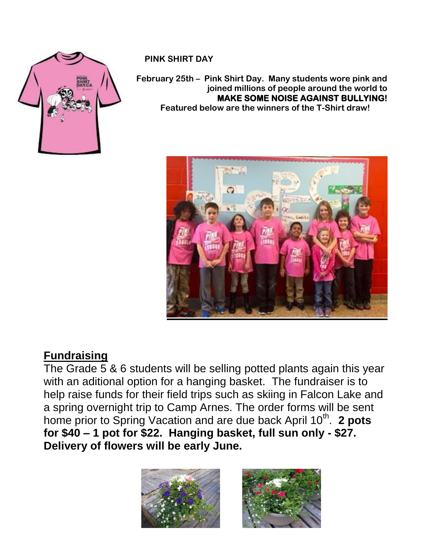

#### **PINK SHIRT DAY**

#### **February 25th – Pink Shirt Day. Many students wore pink and joined millions of people around the world to MAKE SOME NOISE AGAINST BULLYING! Featured below are the winners of the T-Shirt draw!**



## **Fundraising**

The Grade 5 & 6 students will be selling potted plants again this year with an aditional option for a hanging basket. The fundraiser is to help raise funds for their field trips such as skiing in Falcon Lake and a spring overnight trip to Camp Arnes. The order forms will be sent home prior to Spring Vacation and are due back April 10<sup>th</sup>. 2 pots **for \$40 – 1 pot for \$22. Hanging basket, full sun only - \$27. Delivery of flowers will be early June.** 

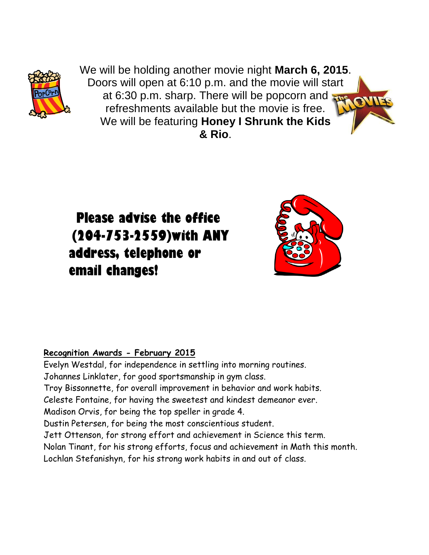

We will be holding another movie night **March 6, 2015**. Doors will open at 6:10 p.m. and the movie will start at 6:30 p.m. sharp. There will be popcorn and refreshments available but the movie is free. We will be featuring **Honey I Shrunk the Kids & Rio**.

 **Please advise the office (204-753-2559)with ANY address, telephone or email changes!**



#### **Recognition Awards - February 2015**

Evelyn Westdal, for independence in settling into morning routines. Johannes Linklater, for good sportsmanship in gym class. Troy Bissonnette, for overall improvement in behavior and work habits. Celeste Fontaine, for having the sweetest and kindest demeanor ever. Madison Orvis, for being the top speller in grade 4. Dustin Petersen, for being the most conscientious student. Jett Ottenson, for strong effort and achievement in Science this term. Nolan Tinant, for his strong efforts, focus and achievement in Math this month. Lochlan Stefanishyn, for his strong work habits in and out of class.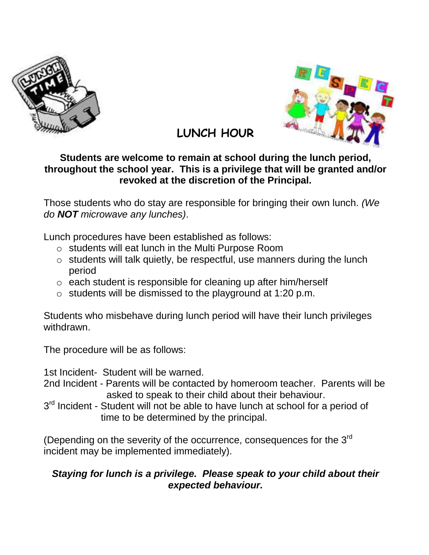



## **LUNCH HOUR**

### **Students are welcome to remain at school during the lunch period, throughout the school year. This is a privilege that will be granted and/or revoked at the discretion of the Principal.**

Those students who do stay are responsible for bringing their own lunch. *(We do NOT microwave any lunches)*.

Lunch procedures have been established as follows:

- o students will eat lunch in the Multi Purpose Room
- o students will talk quietly, be respectful, use manners during the lunch period
- o each student is responsible for cleaning up after him/herself
- o students will be dismissed to the playground at 1:20 p.m.

Students who misbehave during lunch period will have their lunch privileges withdrawn.

The procedure will be as follows:

1st Incident- Student will be warned.

- 2nd Incident Parents will be contacted by homeroom teacher. Parents will be asked to speak to their child about their behaviour.
- 3<sup>rd</sup> Incident Student will not be able to have lunch at school for a period of time to be determined by the principal.

(Depending on the severity of the occurrence, consequences for the  $3<sup>rd</sup>$ incident may be implemented immediately).

#### *Staying for lunch is a privilege. Please speak to your child about their expected behaviour.*